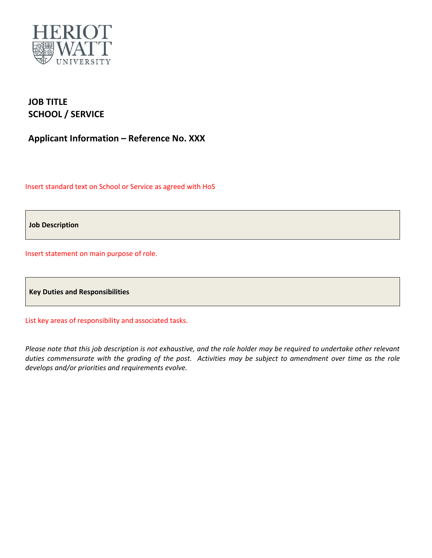

## **JOB TITLE SCHOOL / SERVICE**

**Applicant Information – Reference No. XXX**

Insert standard text on School or Service as agreed with HoS

**Job Description**

Insert statement on main purpose of role.

**Key Duties and Responsibilities**

List key areas of responsibility and associated tasks.

*Please note that this job description is not exhaustive, and the role holder may be required to undertake other relevant duties commensurate with the grading of the post. Activities may be subject to amendment over time as the role develops and/or priorities and requirements evolve.*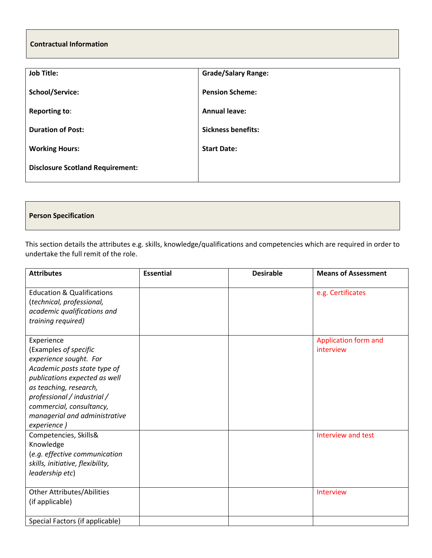## **Contractual Information**

| <b>Job Title:</b>                       | <b>Grade/Salary Range:</b> |  |  |
|-----------------------------------------|----------------------------|--|--|
| <b>School/Service:</b>                  | <b>Pension Scheme:</b>     |  |  |
| <b>Reporting to:</b>                    | <b>Annual leave:</b>       |  |  |
| <b>Duration of Post:</b>                | <b>Sickness benefits:</b>  |  |  |
| <b>Working Hours:</b>                   | <b>Start Date:</b>         |  |  |
| <b>Disclosure Scotland Requirement:</b> |                            |  |  |

## **Person Specification**

This section details the attributes e.g. skills, knowledge/qualifications and competencies which are required in order to undertake the full remit of the role.

| <b>Attributes</b>                                                                                                                                                                                                                                                   | <b>Essential</b> | <b>Desirable</b> | <b>Means of Assessment</b>        |
|---------------------------------------------------------------------------------------------------------------------------------------------------------------------------------------------------------------------------------------------------------------------|------------------|------------------|-----------------------------------|
| <b>Education &amp; Qualifications</b><br>(technical, professional,<br>academic qualifications and<br>training required)                                                                                                                                             |                  |                  | e.g. Certificates                 |
| Experience<br>(Examples of specific<br>experience sought. For<br>Academic posts state type of<br>publications expected as well<br>as teaching, research,<br>professional / industrial /<br>commercial, consultancy,<br>managerial and administrative<br>experience) |                  |                  | Application form and<br>interview |
| Competencies, Skills&<br>Knowledge<br>(e.g. effective communication<br>skills, initiative, flexibility,<br>leadership etc)<br><b>Other Attributes/Abilities</b>                                                                                                     |                  |                  | Interview and test<br>Interview   |
| (if applicable)                                                                                                                                                                                                                                                     |                  |                  |                                   |
| Special Factors (if applicable)                                                                                                                                                                                                                                     |                  |                  |                                   |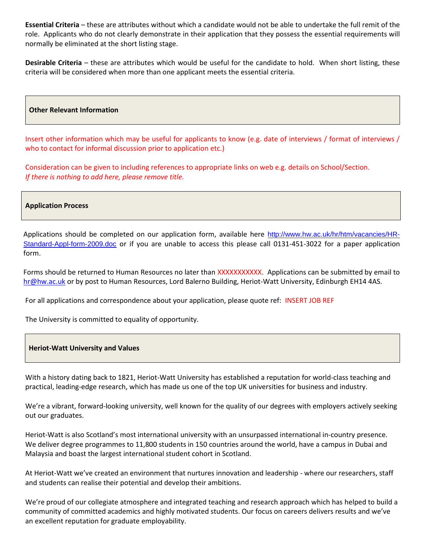**Essential Criteria** – these are attributes without which a candidate would not be able to undertake the full remit of the role. Applicants who do not clearly demonstrate in their application that they possess the essential requirements will normally be eliminated at the short listing stage.

**Desirable Criteria** – these are attributes which would be useful for the candidate to hold. When short listing, these criteria will be considered when more than one applicant meets the essential criteria.

**Other Relevant Information** 

Insert other information which may be useful for applicants to know (e.g. date of interviews / format of interviews / who to contact for informal discussion prior to application etc.)

Consideration can be given to including references to appropriate links on web e.g. details on School/Section. *If there is nothing to add here, please remove title.*

**Application Process**

Applications should be completed on our application form, available here [http://www.hw.ac.uk/hr/htm/vacancies/HR-](http://www.hw.ac.uk/hr/htm/vacancies/HR-Standard-Appl-form-2009.doc)[Standard-Appl-form-2009.doc](http://www.hw.ac.uk/hr/htm/vacancies/HR-Standard-Appl-form-2009.doc) or if you are unable to access this please call 0131-451-3022 for a paper application form.

Forms should be returned to Human Resources no later than XXXXXXXXXXX. Applications can be submitted by email to [hr@hw.ac.uk](mailto:hr@hw.ac.uk) or by post to Human Resources, Lord Balerno Building, Heriot-Watt University, Edinburgh EH14 4AS.

For all applications and correspondence about your application, please quote ref: INSERT JOB REF

The University is committed to equality of opportunity.

## **Heriot-Watt University and Values**

With a history dating back to 1821, Heriot-Watt University has established a reputation for world-class teaching and practical, leading-edge research, which has made us one of the top UK universities for business and industry.

We're a vibrant, forward-looking university, well known for the quality of our degrees with employers actively seeking out our graduates.

Heriot-Watt is also Scotland's most international university with an unsurpassed international in-country presence. We deliver degree programmes to 11,800 students in 150 countries around the world, have a campus in Dubai and Malaysia and boast the largest international student cohort in Scotland.

At Heriot-Watt we've created an environment that nurtures innovation and leadership - where our researchers, staff and students can realise their potential and develop their ambitions.

We're proud of our collegiate atmosphere and integrated teaching and research approach which has helped to build a community of committed academics and highly motivated students. Our focus on careers delivers results and we've an excellent reputation for graduate employability.